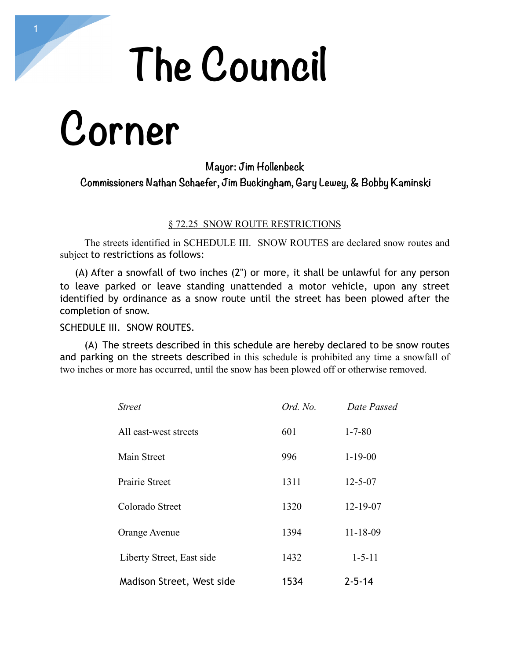# **The Council**

## **Corner**

### **Mayor: Jim Hollenbeck Commissioners Nathan Schaefer, Jim Buckingham, Gary Lewey, & Bobby Kaminski**

### § 72.25 SNOW ROUTE RESTRICTIONS

 The streets identified in SCHEDULE III. SNOW ROUTES are declared snow routes and subject to restrictions as follows:

(A) After a snowfall of two inches (2") or more, it shall be unlawful for any person to leave parked or leave standing unattended a motor vehicle, upon any street identified by ordinance as a snow route until the street has been plowed after the completion of snow.

#### SCHEDULE III. SNOW ROUTES.

 (A) The streets described in this schedule are hereby declared to be snow routes and parking on the streets described in this schedule is prohibited any time a snowfall of two inches or more has occurred, until the snow has been plowed off or otherwise removed.

| <b>Street</b>             | Ord. No. | Date Passed    |
|---------------------------|----------|----------------|
| All east-west streets     | 601      | $1 - 7 - 80$   |
| Main Street               | 996      | $1 - 19 - 00$  |
| Prairie Street            | 1311     | $12 - 5 - 07$  |
| Colorado Street           | 1320     | 12-19-07       |
| Orange Avenue             | 1394     | $11 - 18 - 09$ |
| Liberty Street, East side | 1432     | $1 - 5 - 11$   |
| Madison Street, West side | 1534     | $2 - 5 - 14$   |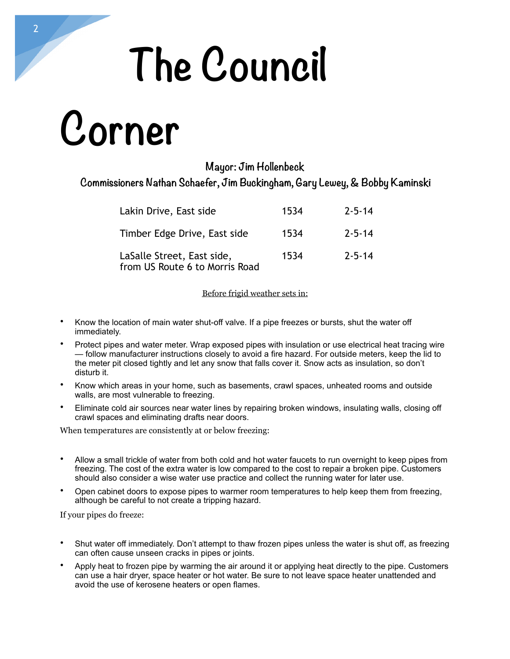# **The Council**

## **Corner**

### **Mayor: Jim Hollenbeck**

### **Commissioners Nathan Schaefer, Jim Buckingham, Gary Lewey, & Bobby Kaminski**

| Lakin Drive, East side                                       | 1534 | $7 - 5 - 14$ |
|--------------------------------------------------------------|------|--------------|
| Timber Edge Drive, East side                                 | 1534 | $7 - 5 - 14$ |
| LaSalle Street, East side,<br>from US Route 6 to Morris Road | 1534 | $7 - 5 - 14$ |

#### Before frigid weather sets in:

- Know the location of main water shut-off valve. If a pipe freezes or bursts, shut the water off immediately.
- Protect pipes and water meter. Wrap exposed pipes with insulation or use electrical heat tracing wire — follow manufacturer instructions closely to avoid a fire hazard. For outside meters, keep the lid to the meter pit closed tightly and let any snow that falls cover it. Snow acts as insulation, so don't disturb it.
- Know which areas in your home, such as basements, crawl spaces, unheated rooms and outside walls, are most vulnerable to freezing.
- Eliminate cold air sources near water lines by repairing broken windows, insulating walls, closing off crawl spaces and eliminating drafts near doors.

When temperatures are consistently at or below freezing:

- Allow a small trickle of water from both cold and hot water faucets to run overnight to keep pipes from freezing. The cost of the extra water is low compared to the cost to repair a broken pipe. Customers should also consider a wise water use practice and collect the running water for later use.
- Open cabinet doors to expose pipes to warmer room temperatures to help keep them from freezing, although be careful to not create a tripping hazard.

If your pipes do freeze:

- Shut water off immediately. Don't attempt to thaw frozen pipes unless the water is shut off, as freezing can often cause unseen cracks in pipes or joints.
- Apply heat to frozen pipe by warming the air around it or applying heat directly to the pipe. Customers can use a hair dryer, space heater or hot water. Be sure to not leave space heater unattended and avoid the use of kerosene heaters or open flames.